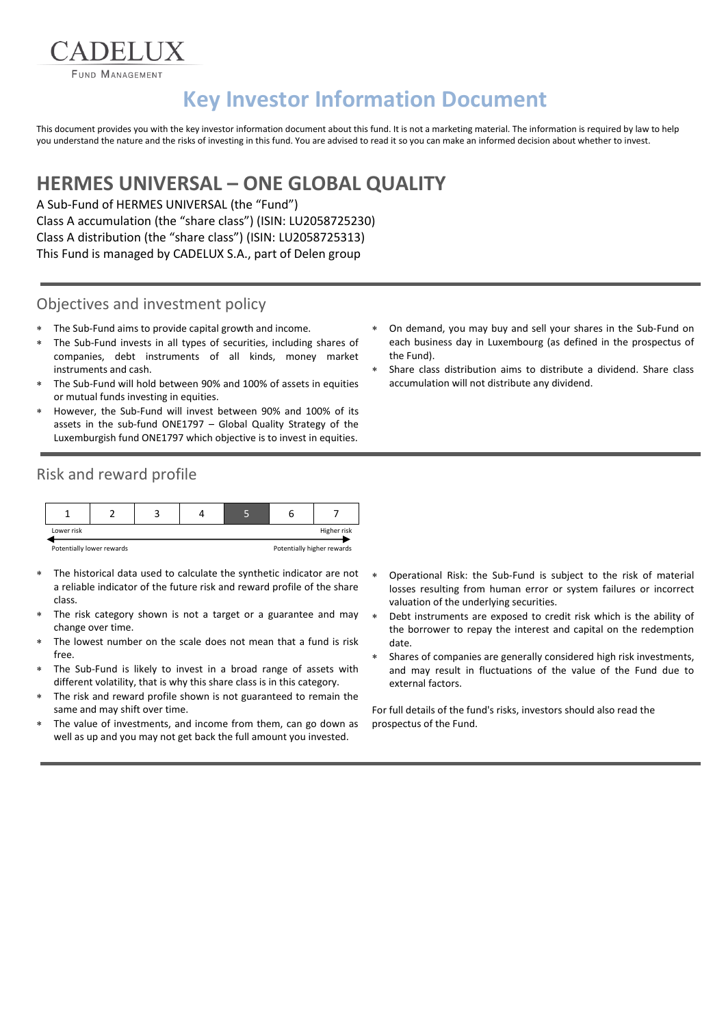**FUND MANAGEMENT** 

**ADELIIX** 

# **Key Investor Information Document**

This document provides you with the key investor information document about this fund. It is not a marketing material. The information is required by law to help you understand the nature and the risks of investing in this fund. You are advised to read it so you can make an informed decision about whether to invest.

## **HERMES UNIVERSAL – ONE GLOBAL QUALITY**

A Sub-Fund of HERMES UNIVERSAL (the "Fund") Class A accumulation (the "share class") (ISIN: LU2058725230) Class A distribution (the "share class") (ISIN: LU2058725313) This Fund is managed by CADELUX S.A., part of Delen group

#### Objectives and investment policy

- The Sub-Fund aims to provide capital growth and income.
- The Sub-Fund invests in all types of securities, including shares of companies, debt instruments of all kinds, money market instruments and cash.
- The Sub-Fund will hold between 90% and 100% of assets in equities or mutual funds investing in equities.
- However, the Sub-Fund will invest between 90% and 100% of its assets in the sub-fund ONE1797 – Global Quality Strategy of the Luxemburgish fund ONE1797 which objective is to invest in equities.
- Risk and reward profile



- The historical data used to calculate the synthetic indicator are not a reliable indicator of the future risk and reward profile of the share class.
- The risk category shown is not a target or a guarantee and may change over time.
- The lowest number on the scale does not mean that a fund is risk free.
- The Sub-Fund is likely to invest in a broad range of assets with different volatility, that is why this share class is in this category.
- The risk and reward profile shown is not guaranteed to remain the same and may shift over time.
- The value of investments, and income from them, can go down as well as up and you may not get back the full amount you invested.
- On demand, you may buy and sell your shares in the Sub-Fund on each business day in Luxembourg (as defined in the prospectus of the Fund).
- Share class distribution aims to distribute a dividend. Share class accumulation will not distribute any dividend.

- Operational Risk: the Sub-Fund is subject to the risk of material losses resulting from human error or system failures or incorrect valuation of the underlying securities.
- Debt instruments are exposed to credit risk which is the ability of the borrower to repay the interest and capital on the redemption date.
- Shares of companies are generally considered high risk investments, and may result in fluctuations of the value of the Fund due to external factors.

For full details of the fund's risks, investors should also read the prospectus of the Fund.